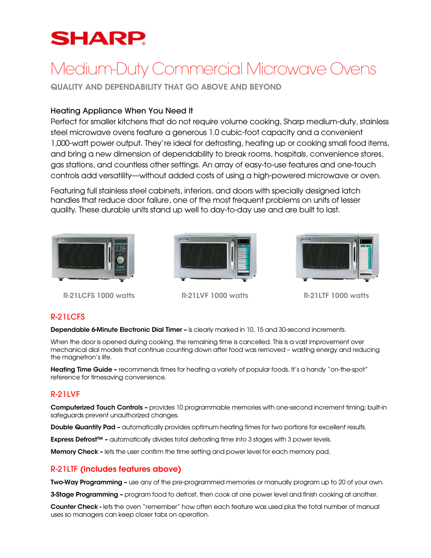## **SHARP**

# Medium-Duty Commercial Microwave Ovens

QUALITY AND DEPENDABILITY THAT GO ABOVE AND BEYOND

#### Heating Appliance When You Need It

Perfect for smaller kitchens that do not require volume cooking, Sharp medium-duty, stainless steel microwave ovens feature a generous 1.0 cubic-foot capacity and a convenient 1,000-watt power output. They're ideal for defrosting, heating up or cooking small food items, and bring a new dimension of dependability to break rooms, hospitals, convenience stores, gas stations, and countless other settings. An array of easy-to-use features and one-touch controls add versatility—without added costs of using a high-powered microwave or oven.

Featuring full stainless steel cabinets, interiors, and doors with specially designed latch handles that reduce door failure, one of the most frequent problems on units of lesser quality. These durable units stand up well to day-to-day use and are built to last.



R-21LCFS 1000 watts R-21LVF 1000 watts R-21LTF 1000 watts





#### R-21LCFS

Dependable 6-Minute Electronic Dial Timer – is clearly marked in 10, 15 and 30-second increments.

When the door is opened during cooking, the remaining time is cancelled. This is a vast improvement over mechanical dial models that continue counting down after food was removed – wasting energy and reducing the magnetron's life.

Heating Time Guide – recommends times for heating a variety of popular foods. It's a handy "on-the-spot" reference for timesaving convenience.

#### R-21LVF

Computerized Touch Controls – provides 10 programmable memories with one-second increment timing; built-in safeguards prevent unauthorized changes.

**Double Quantity Pad –** automatically provides optimum heating times for two portions for excellent results.

Express Defrost™ – automatically divides total defrosting time into 3 stages with 3 power levels.

Memory Check – lets the user confirm the time setting and power level for each memory pad.

#### R-21LTF (includes features above)

**Two-Way Programming –** use any of the pre-programmed memories or manually program up to 20 of your own.

**3-Stage Programming –** program food to defrost, then cook at one power level and finish cooking at another.

Counter Check - lets the oven "remember" how often each feature was used plus the total number of manual uses so managers can keep closer tabs on operation.